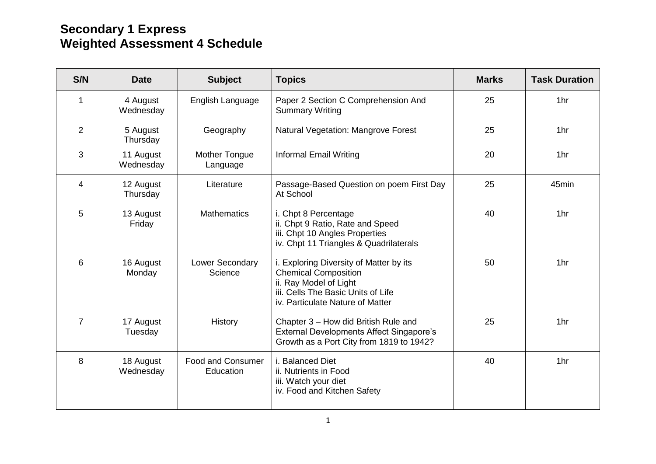## **Secondary 1 Express Weighted Assessment 4 Schedule**

| S/N            | <b>Date</b>            | <b>Subject</b>                        | <b>Topics</b>                                                                                                                                                              | <b>Marks</b> | <b>Task Duration</b> |
|----------------|------------------------|---------------------------------------|----------------------------------------------------------------------------------------------------------------------------------------------------------------------------|--------------|----------------------|
| 1              | 4 August<br>Wednesday  | English Language                      | Paper 2 Section C Comprehension And<br><b>Summary Writing</b>                                                                                                              | 25           | 1hr                  |
| 2              | 5 August<br>Thursday   | Geography                             | Natural Vegetation: Mangrove Forest                                                                                                                                        | 25           | 1hr                  |
| 3              | 11 August<br>Wednesday | Mother Tongue<br>Language             | <b>Informal Email Writing</b>                                                                                                                                              | 20           | 1hr                  |
| $\overline{4}$ | 12 August<br>Thursday  | Literature                            | Passage-Based Question on poem First Day<br>At School                                                                                                                      | 25           | 45min                |
| 5              | 13 August<br>Friday    | <b>Mathematics</b>                    | i. Chpt 8 Percentage<br>ii. Chpt 9 Ratio, Rate and Speed<br>iii. Chpt 10 Angles Properties<br>iv. Chpt 11 Triangles & Quadrilaterals                                       | 40           | 1hr                  |
| 6              | 16 August<br>Monday    | Lower Secondary<br>Science            | i. Exploring Diversity of Matter by its<br><b>Chemical Composition</b><br>ii. Ray Model of Light<br>iii. Cells The Basic Units of Life<br>iv. Particulate Nature of Matter | 50           | 1hr                  |
| $\overline{7}$ | 17 August<br>Tuesday   | History                               | Chapter 3 - How did British Rule and<br><b>External Developments Affect Singapore's</b><br>Growth as a Port City from 1819 to 1942?                                        | 25           | 1hr                  |
| 8              | 18 August<br>Wednesday | <b>Food and Consumer</b><br>Education | i. Balanced Diet<br>ii. Nutrients in Food<br>iii. Watch your diet<br>iv. Food and Kitchen Safety                                                                           | 40           | 1hr                  |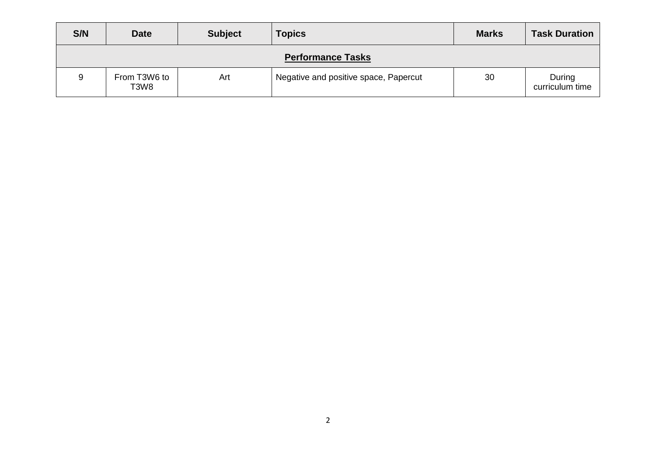| S/N                      | <b>Date</b>          | <b>Subject</b> | <b>Topics</b>                         | <b>Marks</b> | <b>Task Duration</b>      |  |  |
|--------------------------|----------------------|----------------|---------------------------------------|--------------|---------------------------|--|--|
| <b>Performance Tasks</b> |                      |                |                                       |              |                           |  |  |
| 9                        | From T3W6 to<br>T3W8 | Art            | Negative and positive space, Papercut | 30           | During<br>curriculum time |  |  |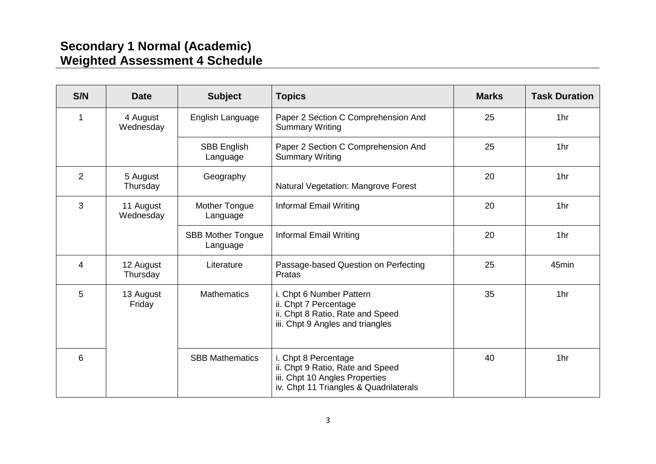## **Secondary 1 Normal (Academic) Weighted Assessment 4 Schedule**

| S/N            | <b>Date</b>            | <b>Subject</b>                       | <b>Topics</b>                                                                                                                        | <b>Marks</b> | <b>Task Duration</b> |
|----------------|------------------------|--------------------------------------|--------------------------------------------------------------------------------------------------------------------------------------|--------------|----------------------|
| 1              | 4 August<br>Wednesday  | English Language                     | Paper 2 Section C Comprehension And<br><b>Summary Writing</b>                                                                        | 25           | 1hr                  |
|                |                        | SBB English<br>Language              | Paper 2 Section C Comprehension And<br><b>Summary Writing</b>                                                                        | 25           | 1hr                  |
| $\overline{2}$ | 5 August<br>Thursday   | Geography                            | Natural Vegetation: Mangrove Forest                                                                                                  | 20           | 1hr                  |
| 3              | 11 August<br>Wednesday | <b>Mother Tongue</b><br>Language     | <b>Informal Email Writing</b>                                                                                                        | 20           | 1hr                  |
|                |                        | <b>SBB Mother Tongue</b><br>Language | <b>Informal Email Writing</b>                                                                                                        | 20           | 1hr                  |
| $\overline{4}$ | 12 August<br>Thursday  | Literature                           | Passage-based Question on Perfecting<br>Pratas                                                                                       | 25           | 45min                |
| 5              | 13 August<br>Friday    | <b>Mathematics</b>                   | i. Chpt 6 Number Pattern<br>ii. Chpt 7 Percentage<br>ii. Chpt 8 Ratio, Rate and Speed<br>iii. Chpt 9 Angles and triangles            | 35           | 1hr                  |
| 6              |                        | <b>SBB Mathematics</b>               | i. Chpt 8 Percentage<br>ii. Chpt 9 Ratio, Rate and Speed<br>iii. Chpt 10 Angles Properties<br>iv. Chpt 11 Triangles & Quadrilaterals | 40           | 1hr                  |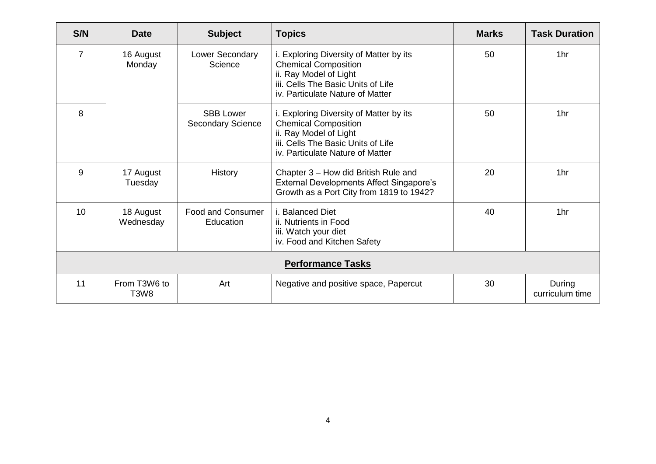| S/N                      | <b>Date</b>                                   | <b>Subject</b>                               | <b>Topics</b>                                                                                                                                                              | <b>Marks</b> | <b>Task Duration</b>      |  |
|--------------------------|-----------------------------------------------|----------------------------------------------|----------------------------------------------------------------------------------------------------------------------------------------------------------------------------|--------------|---------------------------|--|
| $\overline{7}$           | 16 August<br>Monday                           | Lower Secondary<br>Science                   | i. Exploring Diversity of Matter by its<br><b>Chemical Composition</b><br>ii. Ray Model of Light<br>iii. Cells The Basic Units of Life<br>iv. Particulate Nature of Matter | 50           | 1hr                       |  |
| 8                        |                                               | <b>SBB Lower</b><br><b>Secondary Science</b> | i. Exploring Diversity of Matter by its<br><b>Chemical Composition</b><br>ii. Ray Model of Light<br>iii. Cells The Basic Units of Life<br>iv. Particulate Nature of Matter | 50           | 1hr                       |  |
| 9                        | 17 August<br>Tuesday                          | History                                      | Chapter 3 - How did British Rule and<br><b>External Developments Affect Singapore's</b><br>Growth as a Port City from 1819 to 1942?                                        | 20           | 1hr                       |  |
| 10                       | 18 August<br>Wednesday                        | <b>Food and Consumer</b><br>Education        | i. Balanced Diet<br>ii. Nutrients in Food<br>iii. Watch your diet<br>iv. Food and Kitchen Safety                                                                           | 40           | 1hr                       |  |
| <b>Performance Tasks</b> |                                               |                                              |                                                                                                                                                                            |              |                           |  |
| 11                       | From T3W6 to<br>T <sub>3</sub> W <sub>8</sub> | Art                                          | Negative and positive space, Papercut                                                                                                                                      | 30           | During<br>curriculum time |  |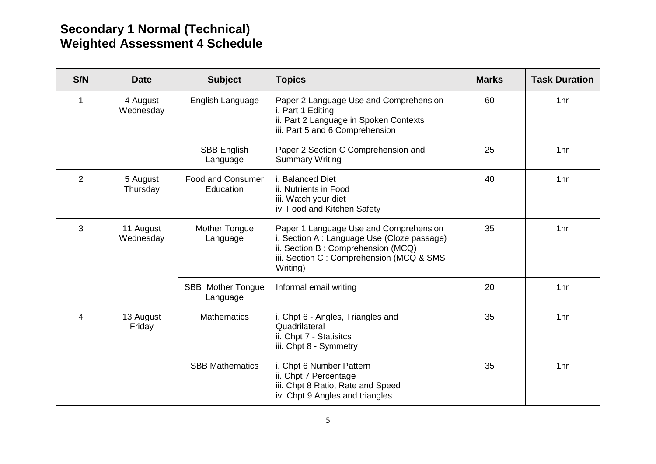## **Secondary 1 Normal (Technical) Weighted Assessment 4 Schedule**

| S/N            | <b>Date</b>            | <b>Subject</b>                        | <b>Topics</b>                                                                                                                                                                       | <b>Marks</b> | <b>Task Duration</b> |
|----------------|------------------------|---------------------------------------|-------------------------------------------------------------------------------------------------------------------------------------------------------------------------------------|--------------|----------------------|
| 1              | 4 August<br>Wednesday  | English Language                      | Paper 2 Language Use and Comprehension<br>i. Part 1 Editing<br>ii. Part 2 Language in Spoken Contexts<br>iii. Part 5 and 6 Comprehension                                            | 60           | 1hr                  |
|                |                        | <b>SBB English</b><br>Language        | Paper 2 Section C Comprehension and<br><b>Summary Writing</b>                                                                                                                       | 25           | 1hr                  |
| $\overline{2}$ | 5 August<br>Thursday   | <b>Food and Consumer</b><br>Education | i. Balanced Diet<br>ii. Nutrients in Food<br>iii. Watch your diet<br>iv. Food and Kitchen Safety                                                                                    | 40           | 1hr                  |
| 3              | 11 August<br>Wednesday | <b>Mother Tongue</b><br>Language      | Paper 1 Language Use and Comprehension<br>i. Section A : Language Use (Cloze passage)<br>ii. Section B: Comprehension (MCQ)<br>iii. Section C: Comprehension (MCQ & SMS<br>Writing) | 35           | 1hr                  |
|                |                        | <b>SBB</b> Mother Tongue<br>Language  | Informal email writing                                                                                                                                                              | 20           | 1hr                  |
| 4              | 13 August<br>Friday    | <b>Mathematics</b>                    | i. Chpt 6 - Angles, Triangles and<br>Quadrilateral<br>ii. Chpt 7 - Statisitcs<br>iii. Chpt 8 - Symmetry                                                                             | 35           | 1hr                  |
|                |                        | <b>SBB Mathematics</b>                | i. Chpt 6 Number Pattern<br>ii. Chpt 7 Percentage<br>iii. Chpt 8 Ratio, Rate and Speed<br>iv. Chpt 9 Angles and triangles                                                           | 35           | 1hr                  |